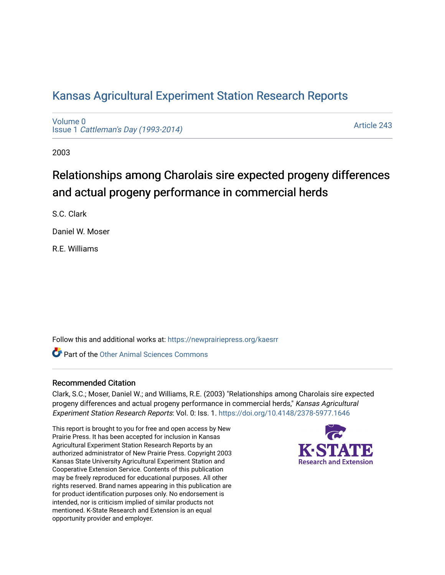# [Kansas Agricultural Experiment Station Research Reports](https://newprairiepress.org/kaesrr)

[Volume 0](https://newprairiepress.org/kaesrr/vol0) Issue 1 [Cattleman's Day \(1993-2014\)](https://newprairiepress.org/kaesrr/vol0/iss1) 

[Article 243](https://newprairiepress.org/kaesrr/vol0/iss1/243) 

2003

# Relationships among Charolais sire expected progeny differences and actual progeny performance in commercial herds

S.C. Clark

Daniel W. Moser

R.E. Williams

Follow this and additional works at: [https://newprairiepress.org/kaesrr](https://newprairiepress.org/kaesrr?utm_source=newprairiepress.org%2Fkaesrr%2Fvol0%2Fiss1%2F243&utm_medium=PDF&utm_campaign=PDFCoverPages) 

**C** Part of the [Other Animal Sciences Commons](http://network.bepress.com/hgg/discipline/82?utm_source=newprairiepress.org%2Fkaesrr%2Fvol0%2Fiss1%2F243&utm_medium=PDF&utm_campaign=PDFCoverPages)

### Recommended Citation

Clark, S.C.; Moser, Daniel W.; and Williams, R.E. (2003) "Relationships among Charolais sire expected progeny differences and actual progeny performance in commercial herds," Kansas Agricultural Experiment Station Research Reports: Vol. 0: Iss. 1. <https://doi.org/10.4148/2378-5977.1646>

This report is brought to you for free and open access by New Prairie Press. It has been accepted for inclusion in Kansas Agricultural Experiment Station Research Reports by an authorized administrator of New Prairie Press. Copyright 2003 Kansas State University Agricultural Experiment Station and Cooperative Extension Service. Contents of this publication may be freely reproduced for educational purposes. All other rights reserved. Brand names appearing in this publication are for product identification purposes only. No endorsement is intended, nor is criticism implied of similar products not mentioned. K-State Research and Extension is an equal opportunity provider and employer.

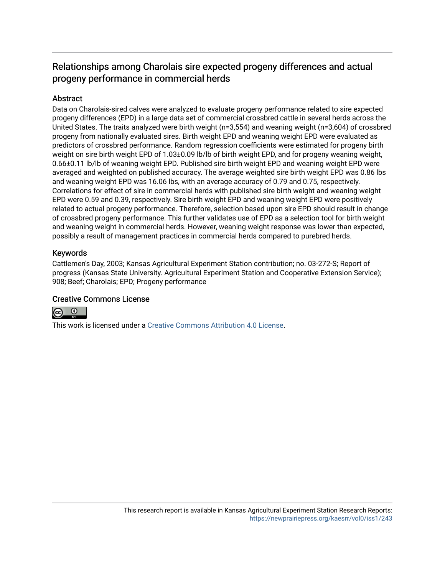## Relationships among Charolais sire expected progeny differences and actual progeny performance in commercial herds

## **Abstract**

Data on Charolais-sired calves were analyzed to evaluate progeny performance related to sire expected progeny differences (EPD) in a large data set of commercial crossbred cattle in several herds across the United States. The traits analyzed were birth weight (n=3,554) and weaning weight (n=3,604) of crossbred progeny from nationally evaluated sires. Birth weight EPD and weaning weight EPD were evaluated as predictors of crossbred performance. Random regression coefficients were estimated for progeny birth weight on sire birth weight EPD of 1.03±0.09 lb/lb of birth weight EPD, and for progeny weaning weight, 0.66±0.11 lb/lb of weaning weight EPD. Published sire birth weight EPD and weaning weight EPD were averaged and weighted on published accuracy. The average weighted sire birth weight EPD was 0.86 lbs and weaning weight EPD was 16.06 lbs, with an average accuracy of 0.79 and 0.75, respectively. Correlations for effect of sire in commercial herds with published sire birth weight and weaning weight EPD were 0.59 and 0.39, respectively. Sire birth weight EPD and weaning weight EPD were positively related to actual progeny performance. Therefore, selection based upon sire EPD should result in change of crossbred progeny performance. This further validates use of EPD as a selection tool for birth weight and weaning weight in commercial herds. However, weaning weight response was lower than expected, possibly a result of management practices in commercial herds compared to purebred herds.

### Keywords

Cattlemen's Day, 2003; Kansas Agricultural Experiment Station contribution; no. 03-272-S; Report of progress (Kansas State University. Agricultural Experiment Station and Cooperative Extension Service); 908; Beef; Charolais; EPD; Progeny performance

### Creative Commons License



This work is licensed under a [Creative Commons Attribution 4.0 License](https://creativecommons.org/licenses/by/4.0/).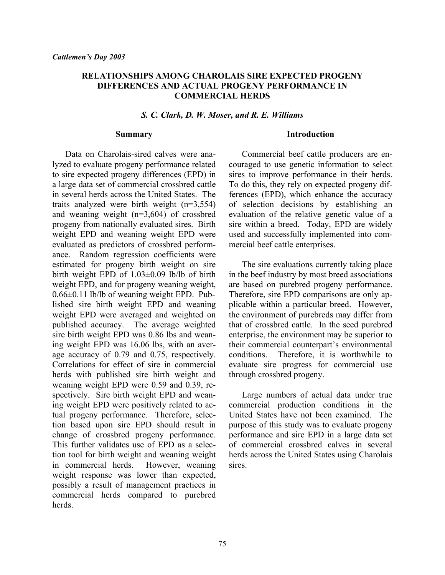#### **RELATIONSHIPS AMONG CHAROLAIS SIRE EXPECTED PROGENY DIFFERENCES AND ACTUAL PROGENY PERFORMANCE IN COMMERCIAL HERDS**

#### *S. C. Clark, D. W. Moser, and R. E. Williams*

#### **Summary**

 Data on Charolais-sired calves were analyzed to evaluate progeny performance related to sire expected progeny differences (EPD) in a large data set of commercial crossbred cattle in several herds across the United States. The traits analyzed were birth weight (n=3,554) and weaning weight (n=3,604) of crossbred progeny from nationally evaluated sires. Birth weight EPD and weaning weight EPD were evaluated as predictors of crossbred performance. Random regression coefficients were estimated for progeny birth weight on sire birth weight EPD of 1.03±0.09 lb/lb of birth weight EPD, and for progeny weaning weight, 0.66±0.11 lb/lb of weaning weight EPD. Published sire birth weight EPD and weaning weight EPD were averaged and weighted on published accuracy. The average weighted sire birth weight EPD was 0.86 lbs and weaning weight EPD was 16.06 lbs, with an average accuracy of 0.79 and 0.75, respectively. Correlations for effect of sire in commercial herds with published sire birth weight and weaning weight EPD were 0.59 and 0.39, respectively. Sire birth weight EPD and weaning weight EPD were positively related to actual progeny performance. Therefore, selection based upon sire EPD should result in change of crossbred progeny performance. This further validates use of EPD as a selection tool for birth weight and weaning weight in commercial herds. However, weaning weight response was lower than expected, possibly a result of management practices in commercial herds compared to purebred herds.

#### **Introduction**

Commercial beef cattle producers are encouraged to use genetic information to select sires to improve performance in their herds. To do this, they rely on expected progeny differences (EPD), which enhance the accuracy of selection decisions by establishing an evaluation of the relative genetic value of a sire within a breed. Today, EPD are widely used and successfully implemented into commercial beef cattle enterprises.

The sire evaluations currently taking place in the beef industry by most breed associations are based on purebred progeny performance. Therefore, sire EPD comparisons are only applicable within a particular breed. However, the environment of purebreds may differ from that of crossbred cattle. In the seed purebred enterprise, the environment may be superior to their commercial counterpart's environmental conditions. Therefore, it is worthwhile to evaluate sire progress for commercial use through crossbred progeny.

Large numbers of actual data under true commercial production conditions in the United States have not been examined. The purpose of this study was to evaluate progeny performance and sire EPD in a large data set of commercial crossbred calves in several herds across the United States using Charolais sires.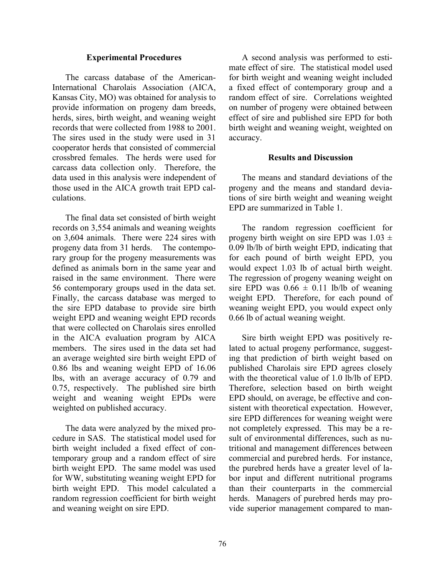#### **Experimental Procedures**

The carcass database of the American-International Charolais Association (AICA, Kansas City, MO) was obtained for analysis to provide information on progeny dam breeds, herds, sires, birth weight, and weaning weight records that were collected from 1988 to 2001. The sires used in the study were used in 31 cooperator herds that consisted of commercial crossbred females. The herds were used for carcass data collection only. Therefore, the data used in this analysis were independent of those used in the AICA growth trait EPD calculations.

The final data set consisted of birth weight records on 3,554 animals and weaning weights on 3,604 animals. There were 224 sires with progeny data from 31 herds. The contemporary group for the progeny measurements was defined as animals born in the same year and raised in the same environment. There were 56 contemporary groups used in the data set. Finally, the carcass database was merged to the sire EPD database to provide sire birth weight EPD and weaning weight EPD records that were collected on Charolais sires enrolled in the AICA evaluation program by AICA members. The sires used in the data set had an average weighted sire birth weight EPD of 0.86 lbs and weaning weight EPD of 16.06 lbs, with an average accuracy of 0.79 and 0.75, respectively. The published sire birth weight and weaning weight EPDs were weighted on published accuracy.

The data were analyzed by the mixed procedure in SAS. The statistical model used for birth weight included a fixed effect of contemporary group and a random effect of sire birth weight EPD. The same model was used for WW, substituting weaning weight EPD for birth weight EPD. This model calculated a random regression coefficient for birth weight and weaning weight on sire EPD.

A second analysis was performed to estimate effect of sire. The statistical model used for birth weight and weaning weight included a fixed effect of contemporary group and a random effect of sire. Correlations weighted on number of progeny were obtained between effect of sire and published sire EPD for both birth weight and weaning weight, weighted on accuracy.

#### **Results and Discussion**

The means and standard deviations of the progeny and the means and standard deviations of sire birth weight and weaning weight EPD are summarized in Table 1.

The random regression coefficient for progeny birth weight on sire EPD was  $1.03 \pm$ 0.09 lb/lb of birth weight EPD, indicating that for each pound of birth weight EPD, you would expect 1.03 lb of actual birth weight. The regression of progeny weaning weight on sire EPD was  $0.66 \pm 0.11$  lb/lb of weaning weight EPD. Therefore, for each pound of weaning weight EPD, you would expect only 0.66 lb of actual weaning weight.

Sire birth weight EPD was positively related to actual progeny performance, suggesting that prediction of birth weight based on published Charolais sire EPD agrees closely with the theoretical value of 1.0 lb/lb of EPD. Therefore, selection based on birth weight EPD should, on average, be effective and consistent with theoretical expectation. However, sire EPD differences for weaning weight were not completely expressed. This may be a result of environmental differences, such as nutritional and management differences between commercial and purebred herds. For instance, the purebred herds have a greater level of labor input and different nutritional programs than their counterparts in the commercial herds. Managers of purebred herds may provide superior management compared to man-